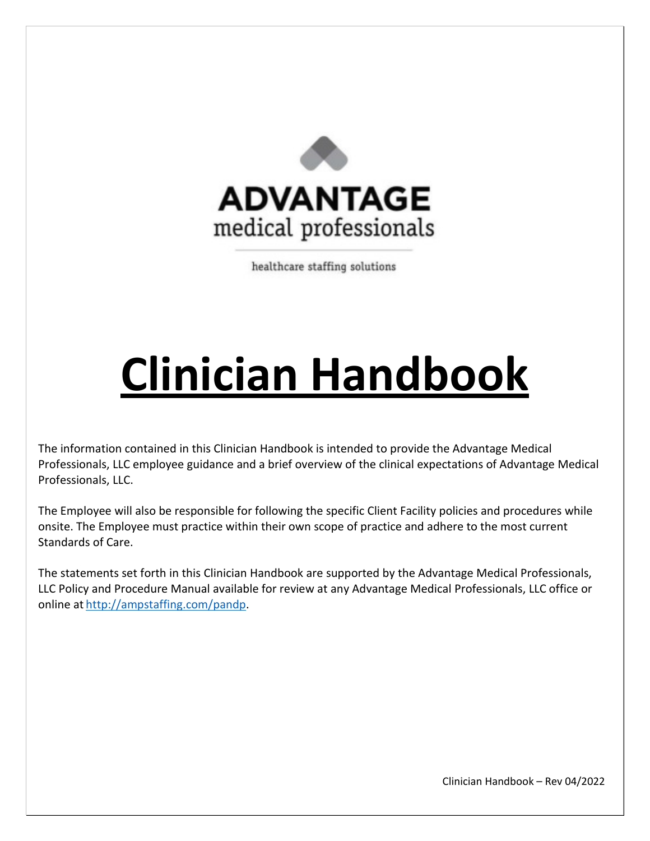

healthcare staffing solutions

# **Clinician Handbook**

The information contained in this Clinician Handbook is intended to provide the Advantage Medical Professionals, LLC employee guidance and a brief overview of the clinical expectations of Advantage Medical Professionals, LLC.

The Employee will also be responsible for following the specific Client Facility policies and procedures while onsite. The Employee must practice within their own scope of practice and adhere to the most current Standards of Care.

The statements set forth in this Clinician Handbook are supported by the Advantage Medical Professionals, LLC Policy and Procedure Manual available for review at any Advantage Medical Professionals, LLC office or online at [http://ampstaffing.com/pandp.](http://ampstaffing.com/pandp)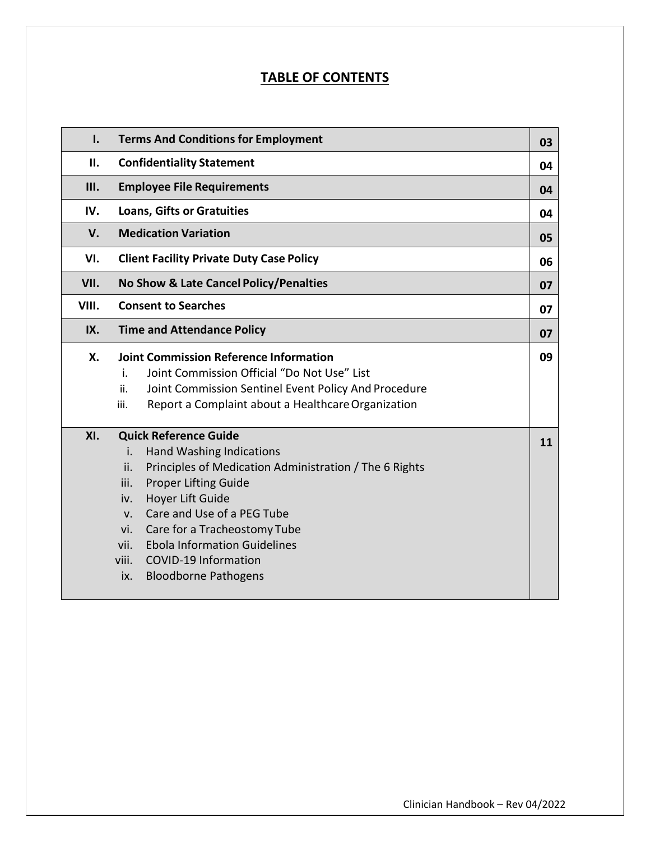# **TABLE OF CONTENTS**

| I.          | <b>Terms And Conditions for Employment</b>                                                                                                                                                                                                                                                                                                                                                                                | 03 |  |
|-------------|---------------------------------------------------------------------------------------------------------------------------------------------------------------------------------------------------------------------------------------------------------------------------------------------------------------------------------------------------------------------------------------------------------------------------|----|--|
| П.          | <b>Confidentiality Statement</b>                                                                                                                                                                                                                                                                                                                                                                                          |    |  |
| <b>III.</b> | <b>Employee File Requirements</b>                                                                                                                                                                                                                                                                                                                                                                                         |    |  |
| IV.         | <b>Loans, Gifts or Gratuities</b><br>04                                                                                                                                                                                                                                                                                                                                                                                   |    |  |
| V.          | <b>Medication Variation</b><br>05                                                                                                                                                                                                                                                                                                                                                                                         |    |  |
| VI.         | <b>Client Facility Private Duty Case Policy</b>                                                                                                                                                                                                                                                                                                                                                                           |    |  |
| VII.        | No Show & Late Cancel Policy/Penalties                                                                                                                                                                                                                                                                                                                                                                                    | 07 |  |
| VIII.       | <b>Consent to Searches</b>                                                                                                                                                                                                                                                                                                                                                                                                | 07 |  |
| IX.         | <b>Time and Attendance Policy</b>                                                                                                                                                                                                                                                                                                                                                                                         | 07 |  |
| Х.          | <b>Joint Commission Reference Information</b><br>Joint Commission Official "Do Not Use" List<br>i.<br>Joint Commission Sentinel Event Policy And Procedure<br>ii.<br>Report a Complaint about a Healthcare Organization<br>iii.                                                                                                                                                                                           | 09 |  |
| XI.         | <b>Quick Reference Guide</b><br><b>Hand Washing Indications</b><br>i.<br>ii.<br>Principles of Medication Administration / The 6 Rights<br><b>Proper Lifting Guide</b><br>iii.<br>Hoyer Lift Guide<br>iv.<br>Care and Use of a PEG Tube<br>$V_{\cdot}$<br>Care for a Tracheostomy Tube<br>vi.<br><b>Ebola Information Guidelines</b><br>vii.<br>viii.<br><b>COVID-19 Information</b><br><b>Bloodborne Pathogens</b><br>ix. | 11 |  |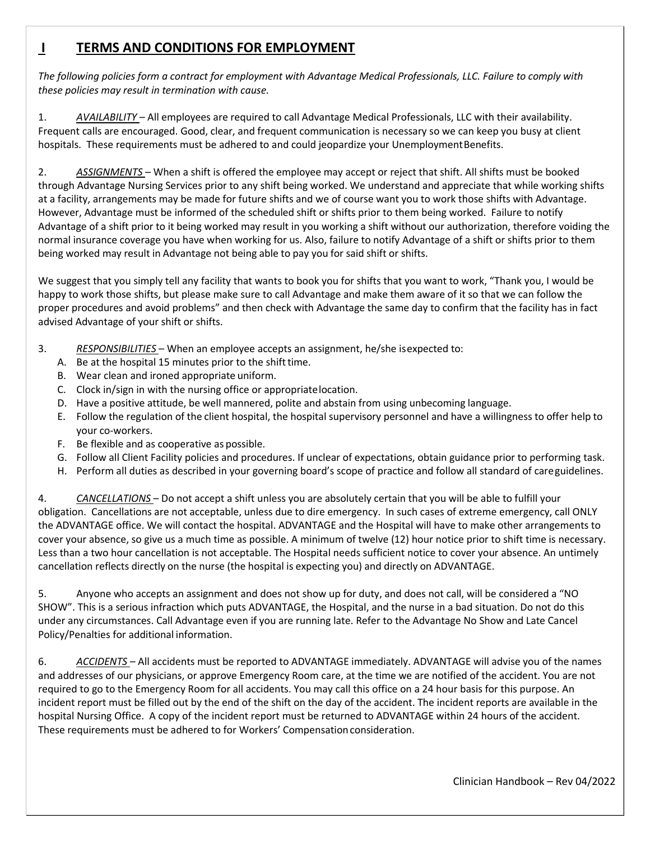# **I TERMS AND CONDITIONS FOR EMPLOYMENT**

*The following policies form a contract for employment with Advantage Medical Professionals, LLC. Failure to comply with these policies may result in termination with cause.* 

1. *AVAILABILITY* – All employees are required to call Advantage Medical Professionals, LLC with their availability. Frequent calls are encouraged. Good, clear, and frequent communication is necessary so we can keep you busy at client hospitals. These requirements must be adhered to and could jeopardize your Unemployment Benefits.

2. *ASSIGNMENTS* – When a shift is offered the employee may accept or reject that shift. All shifts must be booked through Advantage Nursing Services prior to any shift being worked. We understand and appreciate that while working shifts at a facility, arrangements may be made for future shifts and we of course want you to work those shifts with Advantage. However, Advantage must be informed of the scheduled shift or shifts prior to them being worked. Failure to notify Advantage of a shift prior to it being worked may result in you working a shift without our authorization, therefore voiding the normal insurance coverage you have when working for us. Also, failure to notify Advantage of a shift or shifts prior to them being worked may result in Advantage not being able to pay you for said shift or shifts.

We suggest that you simply tell any facility that wants to book you for shifts that you want to work, "Thank you, I would be happy to work those shifts, but please make sure to call Advantage and make them aware of it so that we can follow the proper procedures and avoid problems" and then check with Advantage the same day to confirm that the facility has in fact advised Advantage of your shift or shifts.

- 3. *RESPONSIBILITIES*  When an employee accepts an assignment, he/she is expected to:
	- A. Be at the hospital 15 minutes prior to the shift time.
	- B. Wear clean and ironed appropriate uniform.
	- C. Clock in/sign in with the nursing office or appropriate location.
	- D. Have a positive attitude, be well mannered, polite and abstain from using unbecoming language.
	- E. Follow the regulation of the client hospital, the hospital supervisory personnel and have a willingness to offer help to your co-workers.
	- F. Be flexible and as cooperative as possible.
	- G. Follow all Client Facility policies and procedures. If unclear of expectations, obtain guidance prior to performing task.
	- H. Perform all duties as described in your governing board's scope of practice and follow all standard of care guidelines.

4. *CANCELLATIONS* – Do not accept a shift unless you are absolutely certain that you will be able to fulfill your obligation. Cancellations are not acceptable, unless due to dire emergency. In such cases of extreme emergency, call ONLY the ADVANTAGE office. We will contact the hospital. ADVANTAGE and the Hospital will have to make other arrangements to cover your absence, so give us a much time as possible. A minimum of twelve (12) hour notice prior to shift time is necessary. Less than a two hour cancellation is not acceptable. The Hospital needs sufficient notice to cover your absence. An untimely cancellation reflects directly on the nurse (the hospital is expecting you) and directly on ADVANTAGE.

5. Anyone who accepts an assignment and does not show up for duty, and does not call, will be considered a "NO SHOW". This is a serious infraction which puts ADVANTAGE, the Hospital, and the nurse in a bad situation. Do not do this under any circumstances. Call Advantage even if you are running late. Refer to the Advantage No Show and Late Cancel Policy/Penalties for additional information.

6. *ACCIDENTS* – All accidents must be reported to ADVANTAGE immediately. ADVANTAGE will advise you of the names and addresses of our physicians, or approve Emergency Room care, at the time we are notified of the accident. You are not required to go to the Emergency Room for all accidents. You may call this office on a 24 hour basis for this purpose. An incident report must be filled out by the end of the shift on the day of the accident. The incident reports are available in the hospital Nursing Office. A copy of the incident report must be returned to ADVANTAGE within 24 hours of the accident. These requirements must be adhered to for Workers' Compensation consideration.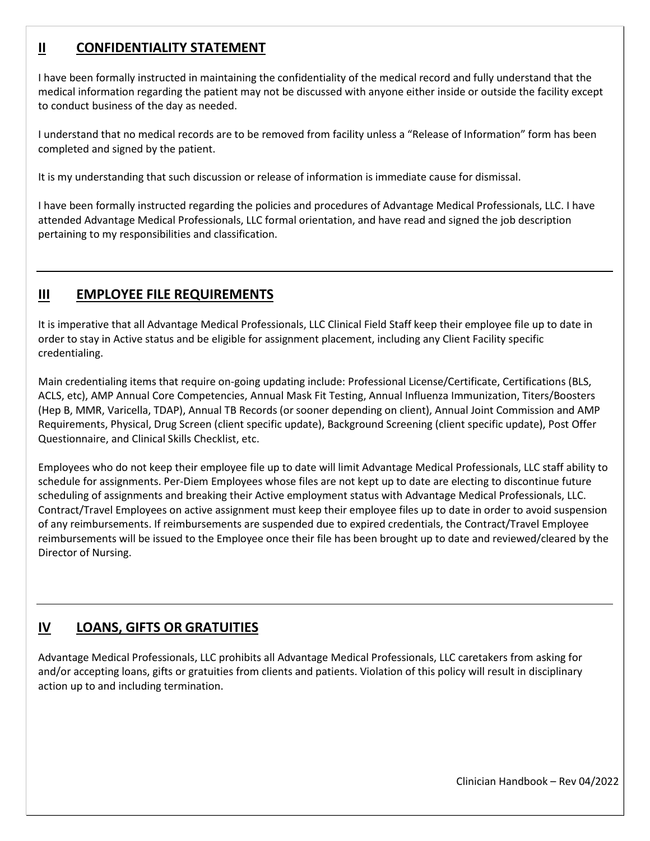# **II CONFIDENTIALITY STATEMENT**

I have been formally instructed in maintaining the confidentiality of the medical record and fully understand that the medical information regarding the patient may not be discussed with anyone either inside or outside the facility except to conduct business of the day as needed.

I understand that no medical records are to be removed from facility unless a "Release of Information" form has been completed and signed by the patient.

It is my understanding that such discussion or release of information is immediate cause for dismissal.

I have been formally instructed regarding the policies and procedures of Advantage Medical Professionals, LLC. I have attended Advantage Medical Professionals, LLC formal orientation, and have read and signed the job description pertaining to my responsibilities and classification.

# **III EMPLOYEE FILE REQUIREMENTS**

It is imperative that all Advantage Medical Professionals, LLC Clinical Field Staff keep their employee file up to date in order to stay in Active status and be eligible for assignment placement, including any Client Facility specific credentialing.

Main credentialing items that require on-going updating include: Professional License/Certificate, Certifications (BLS, ACLS, etc), AMP Annual Core Competencies, Annual Mask Fit Testing, Annual Influenza Immunization, Titers/Boosters (Hep B, MMR, Varicella, TDAP), Annual TB Records (or sooner depending on client), Annual Joint Commission and AMP Requirements, Physical, Drug Screen (client specific update), Background Screening (client specific update), Post Offer Questionnaire, and Clinical Skills Checklist, etc.

Employees who do not keep their employee file up to date will limit Advantage Medical Professionals, LLC staff ability to schedule for assignments. Per-Diem Employees whose files are not kept up to date are electing to discontinue future scheduling of assignments and breaking their Active employment status with Advantage Medical Professionals, LLC. Contract/Travel Employees on active assignment must keep their employee files up to date in order to avoid suspension of any reimbursements. If reimbursements are suspended due to expired credentials, the Contract/Travel Employee reimbursements will be issued to the Employee once their file has been brought up to date and reviewed/cleared by the Director of Nursing.

# **IV LOANS, GIFTS OR GRATUITIES**

Advantage Medical Professionals, LLC prohibits all Advantage Medical Professionals, LLC caretakers from asking for and/or accepting loans, gifts or gratuities from clients and patients. Violation of this policy will result in disciplinary action up to and including termination.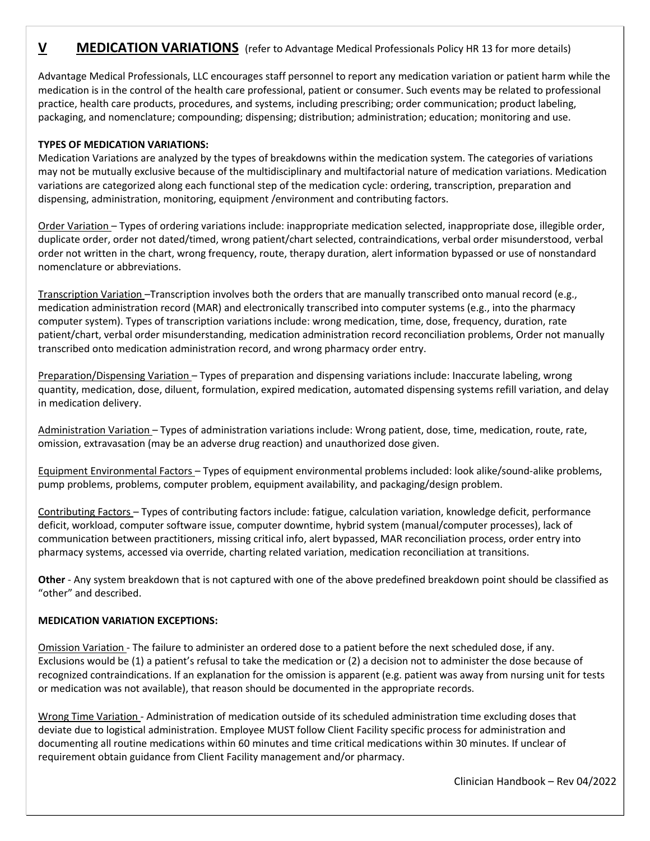### **V MEDICATION VARIATIONS** (refer to Advantage Medical Professionals Policy HR 13 for more details)

Advantage Medical Professionals, LLC encourages staff personnel to report any medication variation or patient harm while the medication is in the control of the health care professional, patient or consumer. Such events may be related to professional practice, health care products, procedures, and systems, including prescribing; order communication; product labeling, packaging, and nomenclature; compounding; dispensing; distribution; administration; education; monitoring and use.

#### **TYPES OF MEDICATION VARIATIONS:**

Medication Variations are analyzed by the types of breakdowns within the medication system. The categories of variations may not be mutually exclusive because of the multidisciplinary and multifactorial nature of medication variations. Medication variations are categorized along each functional step of the medication cycle: ordering, transcription, preparation and dispensing, administration, monitoring, equipment /environment and contributing factors.

Order Variation – Types of ordering variations include: inappropriate medication selected, inappropriate dose, illegible order, duplicate order, order not dated/timed, wrong patient/chart selected, contraindications, verbal order misunderstood, verbal order not written in the chart, wrong frequency, route, therapy duration, alert information bypassed or use of nonstandard nomenclature or abbreviations.

Transcription Variation –Transcription involves both the orders that are manually transcribed onto manual record (e.g., medication administration record (MAR) and electronically transcribed into computer systems (e.g., into the pharmacy computer system). Types of transcription variations include: wrong medication, time, dose, frequency, duration, rate patient/chart, verbal order misunderstanding, medication administration record reconciliation problems, Order not manually transcribed onto medication administration record, and wrong pharmacy order entry.

Preparation/Dispensing Variation – Types of preparation and dispensing variations include: Inaccurate labeling, wrong quantity, medication, dose, diluent, formulation, expired medication, automated dispensing systems refill variation, and delay in medication delivery.

Administration Variation – Types of administration variations include: Wrong patient, dose, time, medication, route, rate, omission, extravasation (may be an adverse drug reaction) and unauthorized dose given.

Equipment Environmental Factors – Types of equipment environmental problems included: look alike/sound-alike problems, pump problems, problems, computer problem, equipment availability, and packaging/design problem.

Contributing Factors – Types of contributing factors include: fatigue, calculation variation, knowledge deficit, performance deficit, workload, computer software issue, computer downtime, hybrid system (manual/computer processes), lack of communication between practitioners, missing critical info, alert bypassed, MAR reconciliation process, order entry into pharmacy systems, accessed via override, charting related variation, medication reconciliation at transitions.

**Other** - Any system breakdown that is not captured with one of the above predefined breakdown point should be classified as "other" and described.

#### **MEDICATION VARIATION EXCEPTIONS:**

Omission Variation - The failure to administer an ordered dose to a patient before the next scheduled dose, if any. Exclusions would be (1) a patient's refusal to take the medication or (2) a decision not to administer the dose because of recognized contraindications. If an explanation for the omission is apparent (e.g. patient was away from nursing unit for tests or medication was not available), that reason should be documented in the appropriate records.

Wrong Time Variation - Administration of medication outside of its scheduled administration time excluding doses that deviate due to logistical administration. Employee MUST follow Client Facility specific process for administration and documenting all routine medications within 60 minutes and time critical medications within 30 minutes. If unclear of requirement obtain guidance from Client Facility management and/or pharmacy.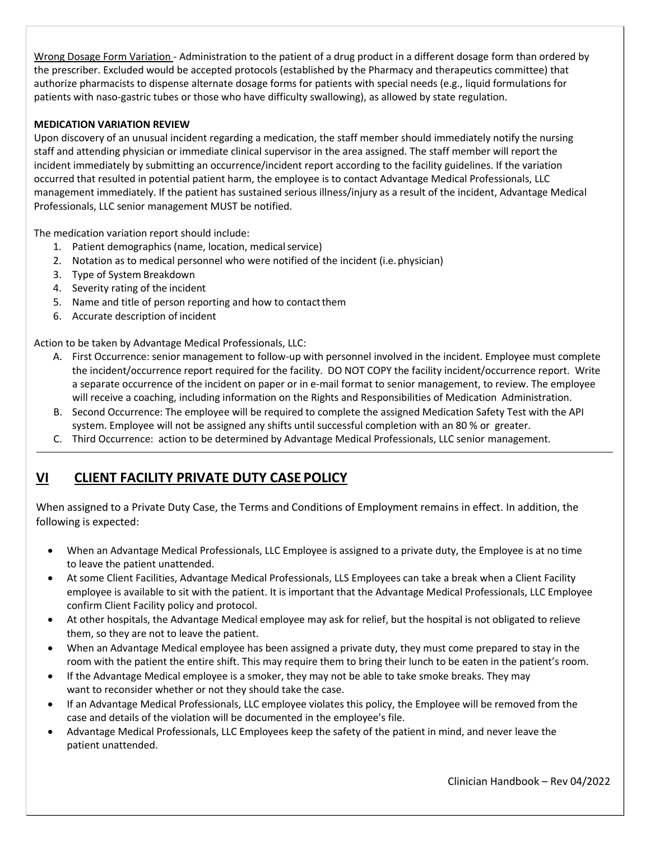Wrong Dosage Form Variation - Administration to the patient of a drug product in a different dosage form than ordered by the prescriber. Excluded would be accepted protocols (established by the Pharmacy and therapeutics committee) that authorize pharmacists to dispense alternate dosage forms for patients with special needs (e.g., liquid formulations for patients with naso-gastric tubes or those who have difficulty swallowing), as allowed by state regulation.

#### **MEDICATION VARIATION REVIEW**

Upon discovery of an unusual incident regarding a medication, the staff member should immediately notify the nursing staff and attending physician or immediate clinical supervisor in the area assigned. The staff member will report the incident immediately by submitting an occurrence/incident report according to the facility guidelines. If the variation occurred that resulted in potential patient harm, the employee is to contact Advantage Medical Professionals, LLC management immediately. If the patient has sustained serious illness/injury as a result of the incident, Advantage Medical Professionals, LLC senior management MUST be notified.

The medication variation report should include:

- 1. Patient demographics (name, location, medical service)
- 2. Notation as to medical personnel who were notified of the incident (i.e. physician)
- 3. Type of System Breakdown
- 4. Severity rating of the incident
- 5. Name and title of person reporting and how to contact them
- 6. Accurate description of incident

Action to be taken by Advantage Medical Professionals, LLC:

- A. First Occurrence: senior management to follow-up with personnel involved in the incident. Employee must complete the incident/occurrence report required for the facility. DO NOT COPY the facility incident/occurrence report. Write a separate occurrence of the incident on paper or in e-mail format to senior management, to review. The employee will receive a coaching, including information on the Rights and Responsibilities of Medication Administration.
- B. Second Occurrence: The employee will be required to complete the assigned Medication Safety Test with the API system. Employee will not be assigned any shifts until successful completion with an 80 % or greater.
- C. Third Occurrence: action to be determined by Advantage Medical Professionals, LLC senior management.

# **VI CLIENT FACILITY PRIVATE DUTY CASE POLICY**

When assigned to a Private Duty Case, the Terms and Conditions of Employment remains in effect. In addition, the following is expected:

- When an Advantage Medical Professionals, LLC Employee is assigned to a private duty, the Employee is at no time to leave the patient unattended.
- At some Client Facilities, Advantage Medical Professionals, LLS Employees can take a break when a Client Facility employee is available to sit with the patient. It is important that the Advantage Medical Professionals, LLC Employee confirm Client Facility policy and protocol.
- At other hospitals, the Advantage Medical employee may ask for relief, but the hospital is not obligated to relieve them, so they are not to leave the patient.
- When an Advantage Medical employee has been assigned a private duty, they must come prepared to stay in the room with the patient the entire shift. This may require them to bring their lunch to be eaten in the patient's room.
- If the Advantage Medical employee is a smoker, they may not be able to take smoke breaks. They may want to reconsider whether or not they should take the case.
- If an Advantage Medical Professionals, LLC employee violates this policy, the Employee will be removed from the case and details of the violation will be documented in the employee's file.
- Advantage Medical Professionals, LLC Employees keep the safety of the patient in mind, and never leave the patient unattended.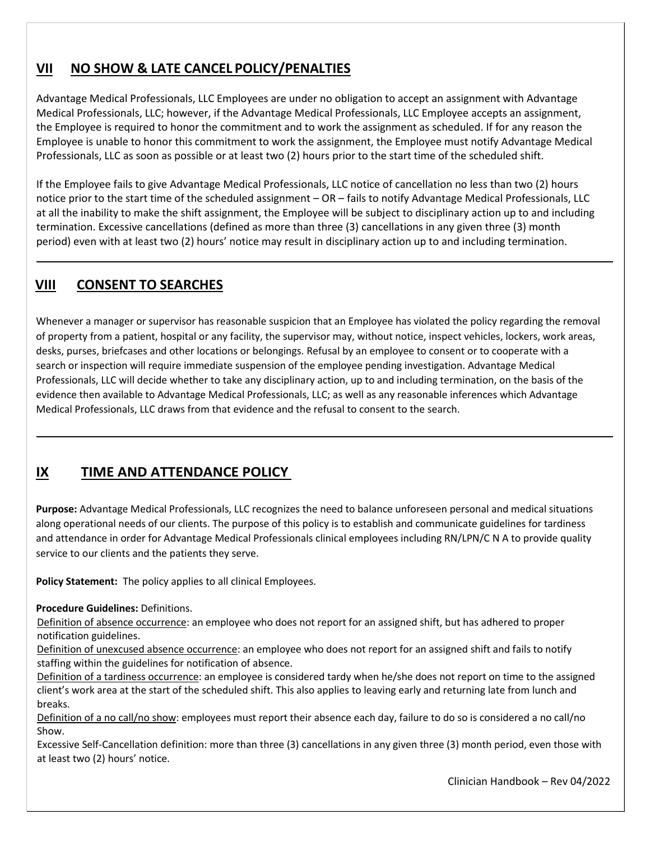# **VII NO SHOW & LATE CANCEL POLICY/PENALTIES**

Advantage Medical Professionals, LLC Employees are under no obligation to accept an assignment with Advantage Medical Professionals, LLC; however, if the Advantage Medical Professionals, LLC Employee accepts an assignment, the Employee is required to honor the commitment and to work the assignment as scheduled. If for any reason the Employee is unable to honor this commitment to work the assignment, the Employee must notify Advantage Medical Professionals, LLC as soon as possible or at least two (2) hours prior to the start time of the scheduled shift.

If the Employee fails to give Advantage Medical Professionals, LLC notice of cancellation no less than two (2) hours notice prior to the start time of the scheduled assignment – OR – fails to notify Advantage Medical Professionals, LLC at all the inability to make the shift assignment, the Employee will be subject to disciplinary action up to and including termination. Excessive cancellations (defined as more than three (3) cancellations in any given three (3) month period) even with at least two (2) hours' notice may result in disciplinary action up to and including termination.

# **VIII CONSENT TO SEARCHES**

Whenever a manager or supervisor has reasonable suspicion that an Employee has violated the policy regarding the removal of property from a patient, hospital or any facility, the supervisor may, without notice, inspect vehicles, lockers, work areas, desks, purses, briefcases and other locations or belongings. Refusal by an employee to consent or to cooperate with a search or inspection will require immediate suspension of the employee pending investigation. Advantage Medical Professionals, LLC will decide whether to take any disciplinary action, up to and including termination, on the basis of the evidence then available to Advantage Medical Professionals, LLC; as well as any reasonable inferences which Advantage Medical Professionals, LLC draws from that evidence and the refusal to consent to the search.

# **IX TIME AND ATTENDANCE POLICY**

**Purpose:** Advantage Medical Professionals, LLC recognizes the need to balance unforeseen personal and medical situations along operational needs of our clients. The purpose of this policy is to establish and communicate guidelines for tardiness and attendance in order for Advantage Medical Professionals clinical employees including RN/LPN/C N A to provide quality service to our clients and the patients they serve.

**Policy Statement:** The policy applies to all clinical Employees.

#### **Procedure Guidelines:** Definitions.

Definition of absence occurrence: an employee who does not report for an assigned shift, but has adhered to proper notification guidelines.

Definition of unexcused absence occurrence: an employee who does not report for an assigned shift and fails to notify staffing within the guidelines for notification of absence.

Definition of a tardiness occurrence: an employee is considered tardy when he/she does not report on time to the assigned client's work area at the start of the scheduled shift. This also applies to leaving early and returning late from lunch and breaks.

Definition of a no call/no show: employees must report their absence each day, failure to do so is considered a no call/no Show.

Excessive Self-Cancellation definition: more than three (3) cancellations in any given three (3) month period, even those with at least two (2) hours' notice.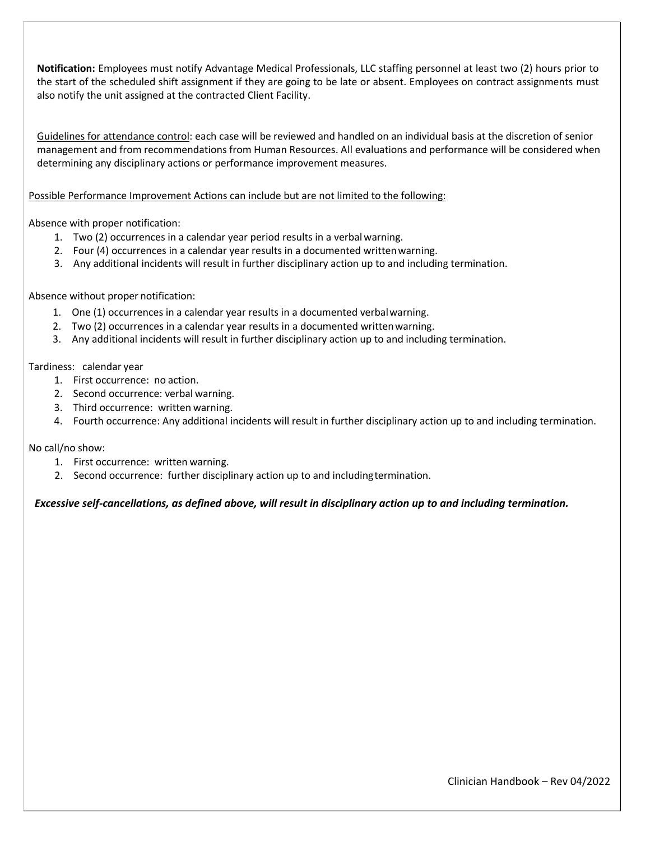**Notification:** Employees must notify Advantage Medical Professionals, LLC staffing personnel at least two (2) hours prior to the start of the scheduled shift assignment if they are going to be late or absent. Employees on contract assignments must also notify the unit assigned at the contracted Client Facility.

Guidelines for attendance control: each case will be reviewed and handled on an individual basis at the discretion of senior management and from recommendations from Human Resources. All evaluations and performance will be considered when determining any disciplinary actions or performance improvement measures.

Possible Performance Improvement Actions can include but are not limited to the following:

Absence with proper notification:

- 1. Two (2) occurrences in a calendar year period results in a verbal warning.
- 2. Four (4) occurrences in a calendar year results in a documented written warning.
- 3. Any additional incidents will result in further disciplinary action up to and including termination.

#### Absence without proper notification:

- 1. One (1) occurrences in a calendar year results in a documented verbal warning.
- 2. Two (2) occurrences in a calendar year results in a documented written warning.
- 3. Any additional incidents will result in further disciplinary action up to and including termination.

#### Tardiness: calendar year

- 1. First occurrence: no action.
- 2. Second occurrence: verbal warning.
- 3. Third occurrence: written warning.
- 4. Fourth occurrence: Any additional incidents will result in further disciplinary action up to and including termination.

#### No call/no show:

- 1. First occurrence: written warning.
- 2. Second occurrence: further disciplinary action up to and including termination.

#### *Excessive self-cancellations, as defined above, will result in disciplinary action up to and including termination.*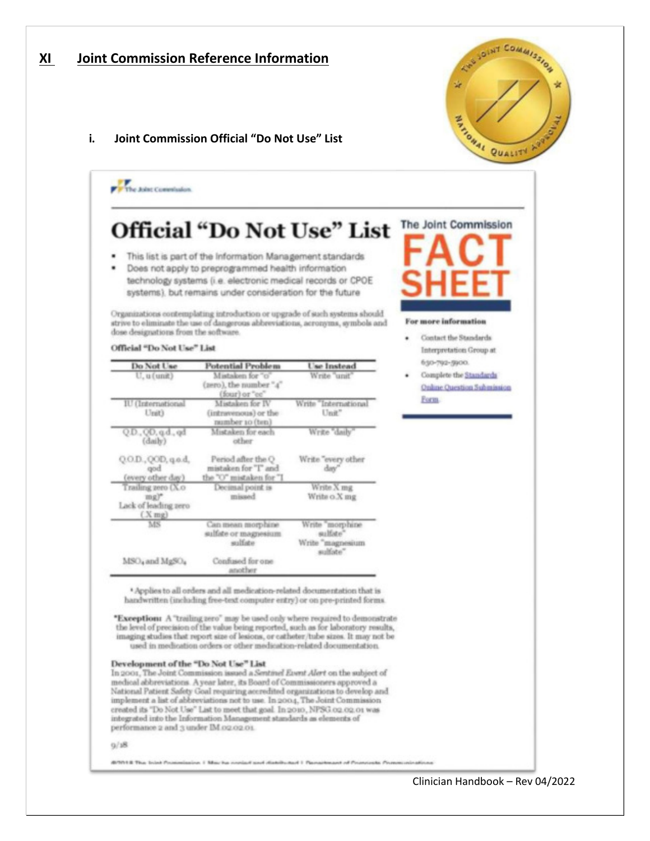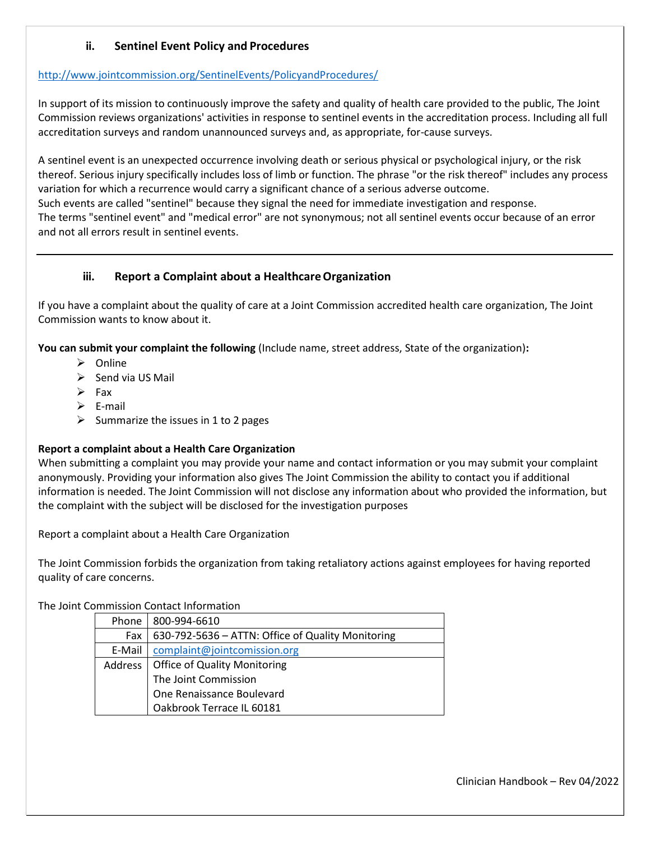#### **ii. Sentinel Event Policy and Procedures**

#### <http://www.jointcommission.org/SentinelEvents/PolicyandProcedures/>

In support of its mission to continuously improve the safety and quality of health care provided to the public, The Joint Commission reviews organizations' activities in response to sentinel events in the accreditation process. Including all full accreditation surveys and random unannounced surveys and, as appropriate, for-cause surveys.

A sentinel event is an unexpected occurrence involving death or serious physical or psychological injury, or the risk thereof. Serious injury specifically includes loss of limb or function. The phrase "or the risk thereof" includes any process variation for which a recurrence would carry a significant chance of a serious adverse outcome. Such events are called "sentinel" because they signal the need for immediate investigation and response. The terms "sentinel event" and "medical error" are not synonymous; not all sentinel events occur because of an error and not all errors result in sentinel events.

#### **iii. Report a Complaint about a Healthcare Organization**

If you have a complaint about the quality of care at a Joint Commission accredited health care organization, The Joint Commission wants to know about it.

**You can submit your complaint the following** (Include name, street address, State of the organization)**:** 

- > Online
- $\triangleright$  Send via US Mail
- $\triangleright$  Fax
- $\triangleright$  E-mail
- $\triangleright$  Summarize the issues in 1 to 2 pages

#### **Report a complaint about a Health Care Organization**

When submitting a complaint you may provide your name and contact information or you may submit your complaint anonymously. Providing your information also gives The Joint Commission the ability to contact you if additional information is needed. The Joint Commission will not disclose any information about who provided the information, but the complaint with the subject will be disclosed for the investigation purposes

Report a complaint about a Health Care Organization

The Joint Commission forbids the organization from taking retaliatory actions against employees for having reported quality of care concerns.

The Joint Commission Contact Information

| Phone   | 800-994-6610                                      |
|---------|---------------------------------------------------|
| Fax     | 630-792-5636 - ATTN: Office of Quality Monitoring |
| E-Mail  | complaint@jointcomission.org                      |
| Address | <b>Office of Quality Monitoring</b>               |
|         | The Joint Commission                              |
|         | One Renaissance Boulevard                         |
|         | Oakbrook Terrace IL 60181                         |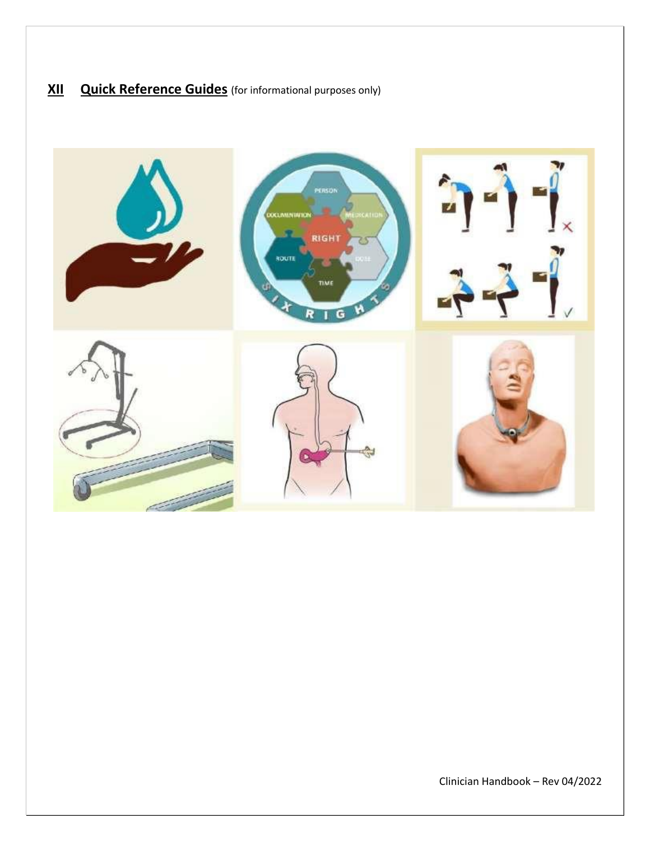# **XII Quick Reference Guides** (for informational purposes only)

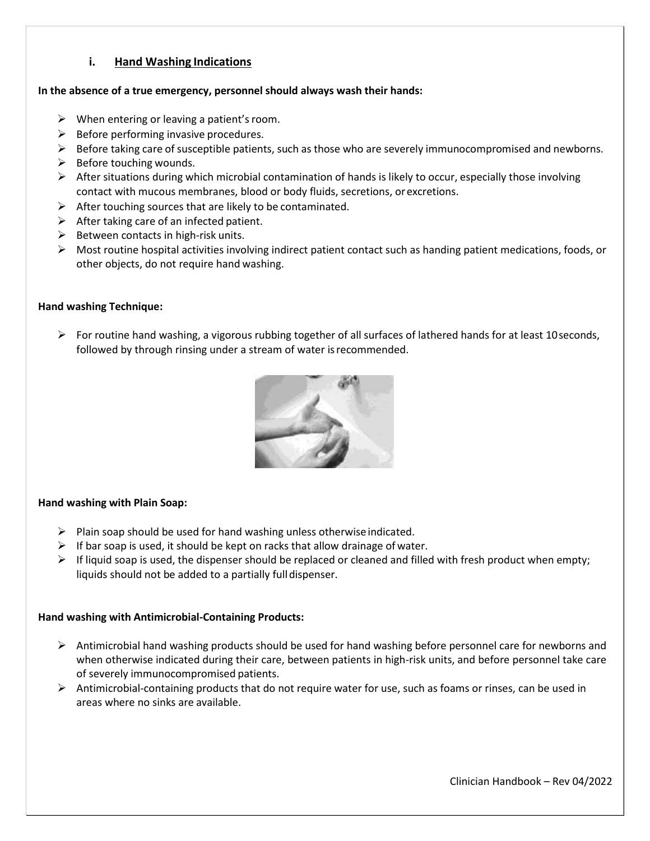#### **i. Hand Washing Indications**

#### **In the absence of a true emergency, personnel should always wash their hands:**

- $\triangleright$  When entering or leaving a patient's room.
- $\triangleright$  Before performing invasive procedures.
- $\triangleright$  Before taking care of susceptible patients, such as those who are severely immunocompromised and newborns.
- $\triangleright$  Before touching wounds.
- $\triangleright$  After situations during which microbial contamination of hands is likely to occur, especially those involving contact with mucous membranes, blood or body fluids, secretions, or excretions.
- $\triangleright$  After touching sources that are likely to be contaminated.
- $\triangleright$  After taking care of an infected patient.
- $\triangleright$  Between contacts in high-risk units.
- $\triangleright$  Most routine hospital activities involving indirect patient contact such as handing patient medications, foods, or other objects, do not require hand washing.

#### **Hand washing Technique:**

For routine hand washing, a vigorous rubbing together of all surfaces of lathered hands for at least 10 seconds, followed by through rinsing under a stream of water is recommended.



#### **Hand washing with Plain Soap:**

- $\triangleright$  Plain soap should be used for hand washing unless otherwise indicated.
- $\triangleright$  If bar soap is used, it should be kept on racks that allow drainage of water.
- $\triangleright$  If liquid soap is used, the dispenser should be replaced or cleaned and filled with fresh product when empty; liquids should not be added to a partially full dispenser.

#### **Hand washing with Antimicrobial-Containing Products:**

- $\triangleright$  Antimicrobial hand washing products should be used for hand washing before personnel care for newborns and when otherwise indicated during their care, between patients in high-risk units, and before personnel take care of severely immunocompromised patients.
- Antimicrobial-containing products that do not require water for use, such as foams or rinses, can be used in areas where no sinks are available.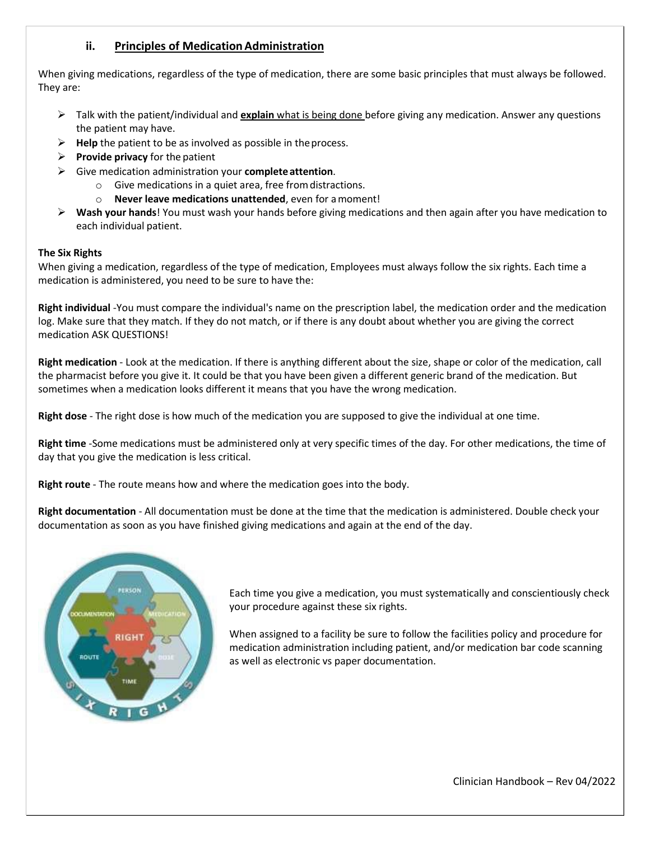#### **ii. Principles of Medication Administration**

When giving medications, regardless of the type of medication, there are some basic principles that must always be followed. They are:

- Talk with the patient/individual and **explain** what is being done before giving any medication. Answer any questions the patient may have.
- **Help** the patient to be as involved as possible in the process.
- **Provide privacy** for the patient
- Give medication administration your **complete attention**.
	- o Give medications in a quiet area, free from distractions.
	- o **Never leave medications unattended**, even for a moment!
- **Wash your hands**! You must wash your hands before giving medications and then again after you have medication to each individual patient.

#### **The Six Rights**

When giving a medication, regardless of the type of medication, Employees must always follow the six rights. Each time a medication is administered, you need to be sure to have the:

**Right individual** -You must compare the individual's name on the prescription label, the medication order and the medication log. Make sure that they match. If they do not match, or if there is any doubt about whether you are giving the correct medication ASK QUESTIONS!

**Right medication** - Look at the medication. If there is anything different about the size, shape or color of the medication, call the pharmacist before you give it. It could be that you have been given a different generic brand of the medication. But sometimes when a medication looks different it means that you have the wrong medication.

**Right dose** - The right dose is how much of the medication you are supposed to give the individual at one time.

**Right time** -Some medications must be administered only at very specific times of the day. For other medications, the time of day that you give the medication is less critical.

**Right route** - The route means how and where the medication goes into the body.

**Right documentation** - All documentation must be done at the time that the medication is administered. Double check your documentation as soon as you have finished giving medications and again at the end of the day.



Each time you give a medication, you must systematically and conscientiously check your procedure against these six rights.

When assigned to a facility be sure to follow the facilities policy and procedure for medication administration including patient, and/or medication bar code scanning as well as electronic vs paper documentation.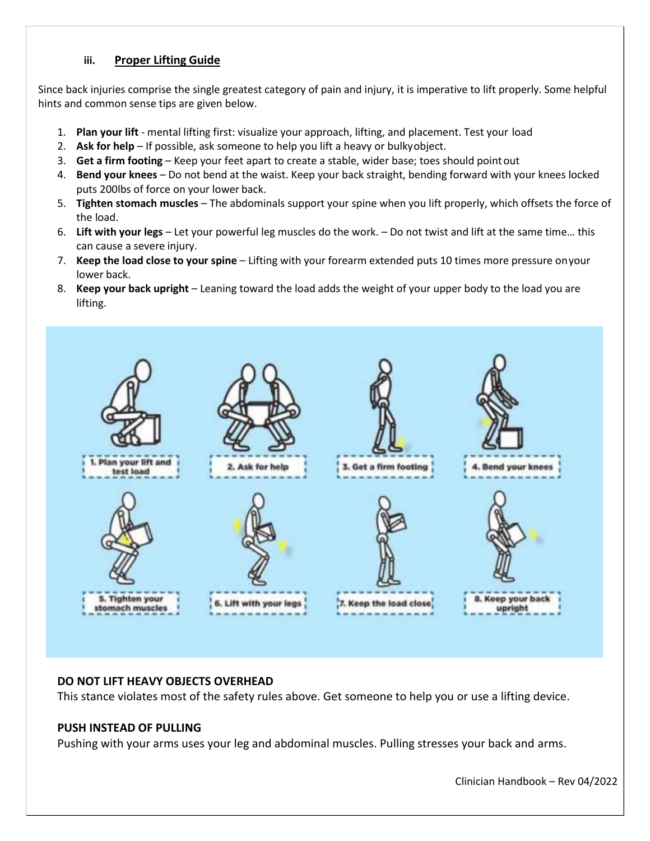#### **iii. Proper Lifting Guide**

Since back injuries comprise the single greatest category of pain and injury, it is imperative to lift properly. Some helpful hints and common sense tips are given below.

- 1. **Plan your lift**  mental lifting first: visualize your approach, lifting, and placement. Test your load
- 2. **Ask for help**  If possible, ask someone to help you lift a heavy or bulky object.
- 3. **Get a firm footing**  Keep your feet apart to create a stable, wider base; toes should point out
- 4. **Bend your knees**  Do not bend at the waist. Keep your back straight, bending forward with your knees locked puts 200lbs of force on your lower back.
- 5. **Tighten stomach muscles**  The abdominals support your spine when you lift properly, which offsets the force of the load.
- 6. **Lift with your legs**  Let your powerful leg muscles do the work. Do not twist and lift at the same time… this can cause a severe injury.
- 7. **Keep the load close to your spine**  Lifting with your forearm extended puts 10 times more pressure on your lower back.
- 8. **Keep your back upright**  Leaning toward the load adds the weight of your upper body to the load you are lifting.



#### **DO NOT LIFT HEAVY OBJECTS OVERHEAD**

This stance violates most of the safety rules above. Get someone to help you or use a lifting device.

#### **PUSH INSTEAD OF PULLING**

Pushing with your arms uses your leg and abdominal muscles. Pulling stresses your back and arms.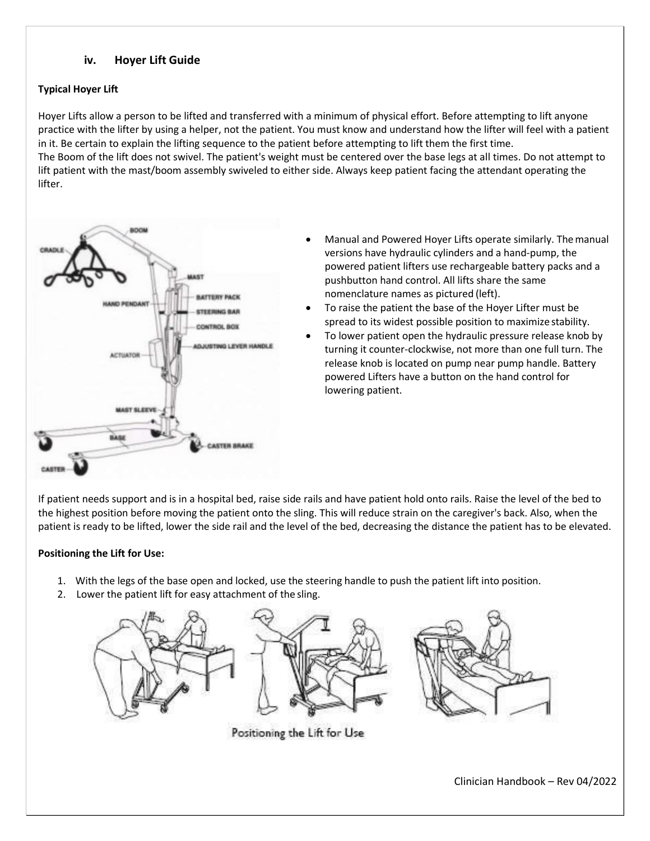#### **iv. Hoyer Lift Guide**

#### **Typical Hoyer Lift**

Hoyer Lifts allow a person to be lifted and transferred with a minimum of physical effort. Before attempting to lift anyone practice with the lifter by using a helper, not the patient. You must know and understand how the lifter will feel with a patient in it. Be certain to explain the lifting sequence to the patient before attempting to lift them the first time. The Boom of the lift does not swivel. The patient's weight must be centered over the base legs at all times. Do not attempt to lift patient with the mast/boom assembly swiveled to either side. Always keep patient facing the attendant operating the lifter.



- Manual and Powered Hoyer Lifts operate similarly. The manual versions have hydraulic cylinders and a hand-pump, the powered patient lifters use rechargeable battery packs and a pushbutton hand control. All lifts share the same nomenclature names as pictured (left).
- To raise the patient the base of the Hoyer Lifter must be spread to its widest possible position to maximize stability.
- To lower patient open the hydraulic pressure release knob by turning it counter-clockwise, not more than one full turn. The release knob is located on pump near pump handle. Battery powered Lifters have a button on the hand control for lowering patient.

If patient needs support and is in a hospital bed, raise side rails and have patient hold onto rails. Raise the level of the bed to the highest position before moving the patient onto the sling. This will reduce strain on the caregiver's back. Also, when the patient is ready to be lifted, lower the side rail and the level of the bed, decreasing the distance the patient has to be elevated.

#### **Positioning the Lift for Use:**

- 1. With the legs of the base open and locked, use the steering handle to push the patient lift into position.
- 2. Lower the patient lift for easy attachment of the sling.



Positioning the Lift for Use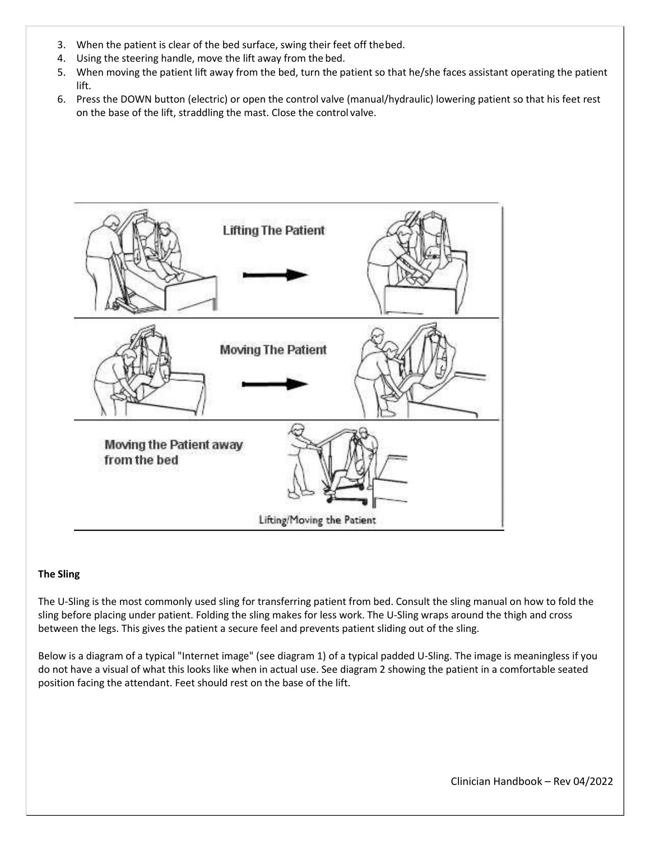- 3. When the patient is clear of the bed surface, swing their feet off the bed.
- 4. Using the steering handle, move the lift away from the bed.
- 5. When moving the patient lift away from the bed, turn the patient so that he/she faces assistant operating the patient lift.
- 6. Press the DOWN button (electric) or open the control valve (manual/hydraulic) lowering patient so that his feet rest on the base of the lift, straddling the mast. Close the control valve.



#### **The Sling**

The U-Sling is the most commonly used sling for transferring patient from bed. Consult the sling manual on how to fold the sling before placing under patient. Folding the sling makes for less work. The U-Sling wraps around the thigh and cross between the legs. This gives the patient a secure feel and prevents patient sliding out of the sling.

Below is a diagram of a typical "Internet image" (see diagram 1) of a typical padded U-Sling. The image is meaningless if you do not have a visual of what this looks like when in actual use. See diagram 2 showing the patient in a comfortable seated position facing the attendant. Feet should rest on the base of the lift.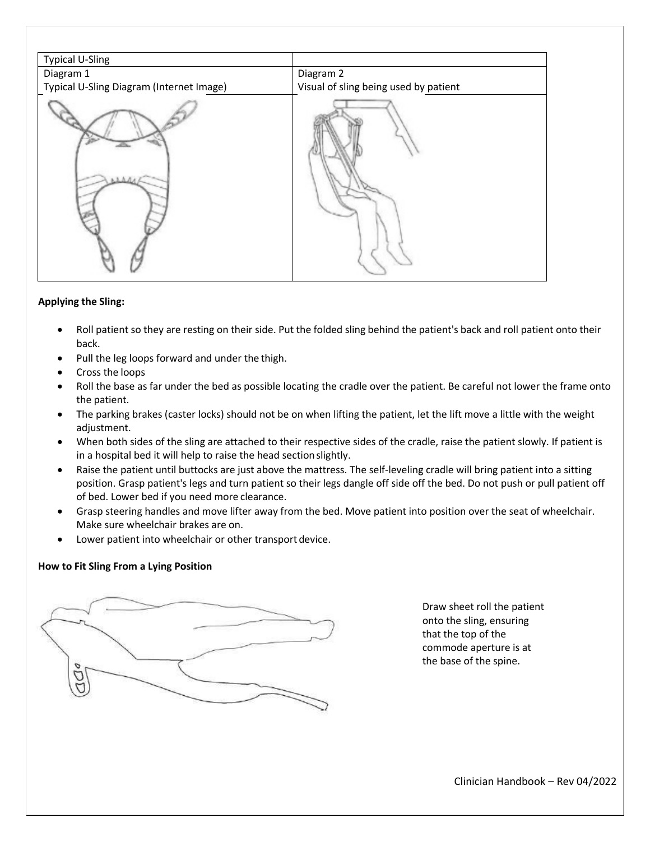| <b>Typical U-Sling</b>                   |                                       |
|------------------------------------------|---------------------------------------|
| Diagram 1                                | Diagram 2                             |
| Typical U-Sling Diagram (Internet Image) | Visual of sling being used by patient |
|                                          |                                       |

#### **Applying the Sling:**

- Roll patient so they are resting on their side. Put the folded sling behind the patient's back and roll patient onto their back.
- Pull the leg loops forward and under the thigh.
- Cross the loops
- Roll the base as far under the bed as possible locating the cradle over the patient. Be careful not lower the frame onto the patient.
- The parking brakes (caster locks) should not be on when lifting the patient, let the lift move a little with the weight adjustment.
- When both sides of the sling are attached to their respective sides of the cradle, raise the patient slowly. If patient is in a hospital bed it will help to raise the head section slightly.
- Raise the patient until buttocks are just above the mattress. The self-leveling cradle will bring patient into a sitting position. Grasp patient's legs and turn patient so their legs dangle off side off the bed. Do not push or pull patient off of bed. Lower bed if you need more clearance.
- Grasp steering handles and move lifter away from the bed. Move patient into position over the seat of wheelchair. Make sure wheelchair brakes are on.
- Lower patient into wheelchair or other transport device.

#### **How to Fit Sling From a Lying Position**



Draw sheet roll the patient onto the sling, ensuring that the top of the commode aperture is at the base of the spine.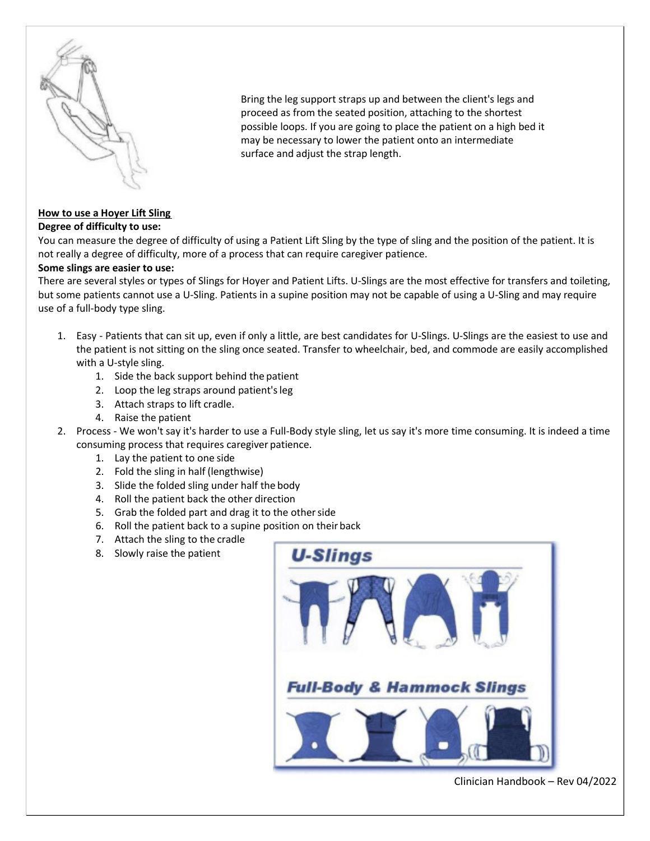

Bring the leg support straps up and between the client's legs and proceed as from the seated position, attaching to the shortest possible loops. If you are going to place the patient on a high bed it may be necessary to lower the patient onto an intermediate surface and adjust the strap length.

# **How to use a Hoyer Lift Sling**

**Degree of difficulty to use:** 

You can measure the degree of difficulty of using a Patient Lift Sling by the type of sling and the position of the patient. It is not really a degree of difficulty, more of a process that can require caregiver patience.

#### **Some slings are easier to use:**

There are several styles or types of Slings for Hoyer and Patient Lifts. U-Slings are the most effective for transfers and toileting, but some patients cannot use a U-Sling. Patients in a supine position may not be capable of using a U-Sling and may require use of a full-body type sling.

- 1. Easy Patients that can sit up, even if only a little, are best candidates for U-Slings. U-Slings are the easiest to use and the patient is not sitting on the sling once seated. Transfer to wheelchair, bed, and commode are easily accomplished with a U-style sling.
	- 1. Side the back support behind the patient
	- 2. Loop the leg straps around patient's leg
	- 3. Attach straps to lift cradle.
	- 4. Raise the patient
- 2. Process We won't say it's harder to use a Full-Body style sling, let us say it's more time consuming. It is indeed a time consuming process that requires caregiver patience.
	- 1. Lay the patient to one side
	- 2. Fold the sling in half (lengthwise)
	- 3. Slide the folded sling under half the body
	- 4. Roll the patient back the other direction
	- 5. Grab the folded part and drag it to the other side
	- 6. Roll the patient back to a supine position on their back
	- 7. Attach the sling to the cradle
	- 8. Slowly raise the patient

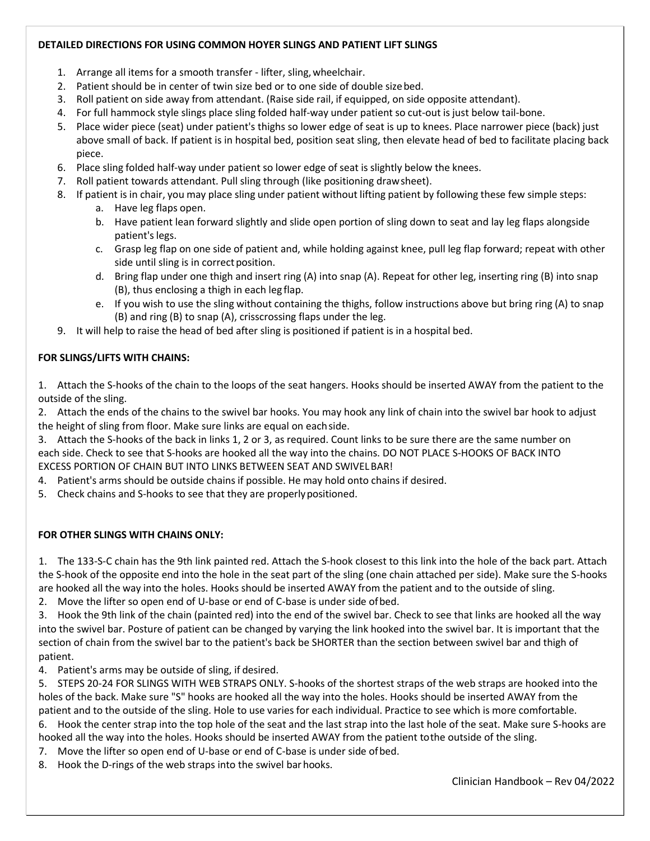#### **DETAILED DIRECTIONS FOR USING COMMON HOYER SLINGS AND PATIENT LIFT SLINGS**

- 1. Arrange all items for a smooth transfer lifter, sling, wheelchair.
- 2. Patient should be in center of twin size bed or to one side of double size bed.
- 3. Roll patient on side away from attendant. (Raise side rail, if equipped, on side opposite attendant).
- 4. For full hammock style slings place sling folded half-way under patient so cut-out is just below tail-bone.
- 5. Place wider piece (seat) under patient's thighs so lower edge of seat is up to knees. Place narrower piece (back) just above small of back. If patient is in hospital bed, position seat sling, then elevate head of bed to facilitate placing back piece.
- 6. Place sling folded half-way under patient so lower edge of seat is slightly below the knees.
- 7. Roll patient towards attendant. Pull sling through (like positioning draw sheet).
- 8. If patient is in chair, you may place sling under patient without lifting patient by following these few simple steps:
	- a. Have leg flaps open.
	- b. Have patient lean forward slightly and slide open portion of sling down to seat and lay leg flaps alongside patient's legs.
	- c. Grasp leg flap on one side of patient and, while holding against knee, pull leg flap forward; repeat with other side until sling is in correct position.
	- d. Bring flap under one thigh and insert ring (A) into snap (A). Repeat for other leg, inserting ring (B) into snap (B), thus enclosing a thigh in each leg flap.
	- e. If you wish to use the sling without containing the thighs, follow instructions above but bring ring (A) to snap (B) and ring (B) to snap (A), crisscrossing flaps under the leg.
- 9. It will help to raise the head of bed after sling is positioned if patient is in a hospital bed.

## **FOR SLINGS/LIFTS WITH CHAINS:**

1. Attach the S-hooks of the chain to the loops of the seat hangers. Hooks should be inserted AWAY from the patient to the outside of the sling.

2. Attach the ends of the chains to the swivel bar hooks. You may hook any link of chain into the swivel bar hook to adjust the height of sling from floor. Make sure links are equal on each side.

3. Attach the S-hooks of the back in links 1, 2 or 3, as required. Count links to be sure there are the same number on each side. Check to see that S-hooks are hooked all the way into the chains. DO NOT PLACE S-HOOKS OF BACK INTO EXCESS PORTION OF CHAIN BUT INTO LINKS BETWEEN SEAT AND SWIVEL BAR!

- 4. Patient's arms should be outside chains if possible. He may hold onto chains if desired.
- 5. Check chains and S-hooks to see that they are properly positioned.

# **FOR OTHER SLINGS WITH CHAINS ONLY:**

1. The 133-S-C chain has the 9th link painted red. Attach the S-hook closest to this link into the hole of the back part. Attach the S-hook of the opposite end into the hole in the seat part of the sling (one chain attached per side). Make sure the S-hooks are hooked all the way into the holes. Hooks should be inserted AWAY from the patient and to the outside of sling.

2. Move the lifter so open end of U-base or end of C-base is under side of bed.

3. Hook the 9th link of the chain (painted red) into the end of the swivel bar. Check to see that links are hooked all the way into the swivel bar. Posture of patient can be changed by varying the link hooked into the swivel bar. It is important that the section of chain from the swivel bar to the patient's back be SHORTER than the section between swivel bar and thigh of patient.

4. Patient's arms may be outside of sling, if desired.

5. STEPS 20-24 FOR SLINGS WITH WEB STRAPS ONLY. S-hooks of the shortest straps of the web straps are hooked into the holes of the back. Make sure "S" hooks are hooked all the way into the holes. Hooks should be inserted AWAY from the patient and to the outside of the sling. Hole to use varies for each individual. Practice to see which is more comfortable.

6. Hook the center strap into the top hole of the seat and the last strap into the last hole of the seat. Make sure S-hooks are hooked all the way into the holes. Hooks should be inserted AWAY from the patient to the outside of the sling.

- 7. Move the lifter so open end of U-base or end of C-base is under side of bed.
- 8. Hook the D-rings of the web straps into the swivel bar hooks.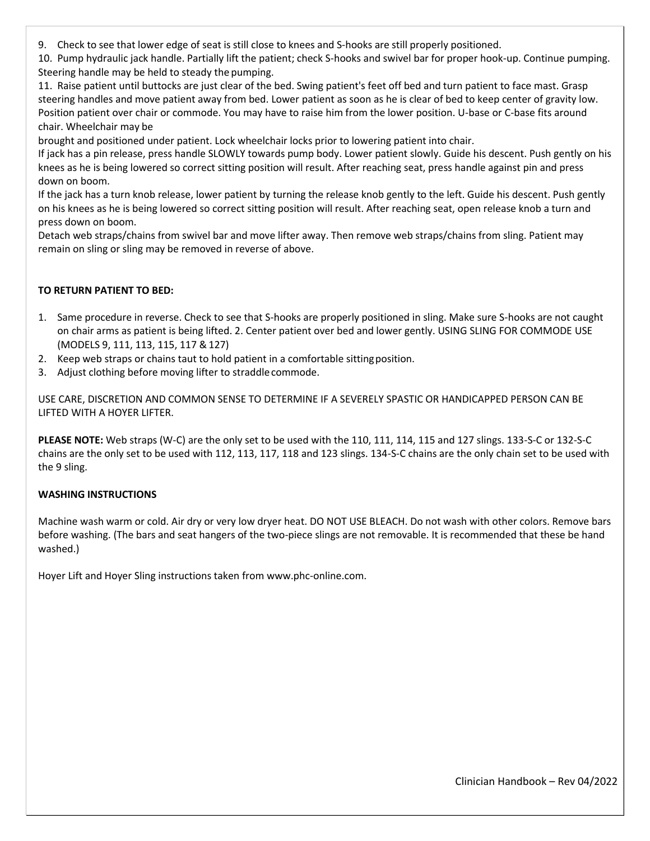9. Check to see that lower edge of seat is still close to knees and S-hooks are still properly positioned.

10. Pump hydraulic jack handle. Partially lift the patient; check S-hooks and swivel bar for proper hook-up. Continue pumping. Steering handle may be held to steady the pumping.

11. Raise patient until buttocks are just clear of the bed. Swing patient's feet off bed and turn patient to face mast. Grasp steering handles and move patient away from bed. Lower patient as soon as he is clear of bed to keep center of gravity low. Position patient over chair or commode. You may have to raise him from the lower position. U-base or C-base fits around chair. Wheelchair may be

brought and positioned under patient. Lock wheelchair locks prior to lowering patient into chair.

If jack has a pin release, press handle SLOWLY towards pump body. Lower patient slowly. Guide his descent. Push gently on his knees as he is being lowered so correct sitting position will result. After reaching seat, press handle against pin and press down on boom.

If the jack has a turn knob release, lower patient by turning the release knob gently to the left. Guide his descent. Push gently on his knees as he is being lowered so correct sitting position will result. After reaching seat, open release knob a turn and press down on boom.

Detach web straps/chains from swivel bar and move lifter away. Then remove web straps/chains from sling. Patient may remain on sling or sling may be removed in reverse of above.

#### **TO RETURN PATIENT TO BED:**

- 1. Same procedure in reverse. Check to see that S-hooks are properly positioned in sling. Make sure S-hooks are not caught on chair arms as patient is being lifted. 2. Center patient over bed and lower gently. USING SLING FOR COMMODE USE (MODELS 9, 111, 113, 115, 117 & 127)
- 2. Keep web straps or chains taut to hold patient in a comfortable sitting position.
- 3. Adjust clothing before moving lifter to straddle commode.

USE CARE, DISCRETION AND COMMON SENSE TO DETERMINE IF A SEVERELY SPASTIC OR HANDICAPPED PERSON CAN BE LIFTED WITH A HOYER LIFTER.

**PLEASE NOTE:** Web straps (W-C) are the only set to be used with the 110, 111, 114, 115 and 127 slings. 133-S-C or 132-S-C chains are the only set to be used with 112, 113, 117, 118 and 123 slings. 134-S-C chains are the only chain set to be used with the 9 sling.

#### **WASHING INSTRUCTIONS**

Machine wash warm or cold. Air dry or very low dryer heat. DO NOT USE BLEACH. Do not wash with other colors. Remove bars before washing. (The bars and seat hangers of the two-piece slings are not removable. It is recommended that these be hand washed.)

Hoyer Lift and Hoyer Sling instructions taken from [www.phc-online.com.](http://www.phc-online.com/)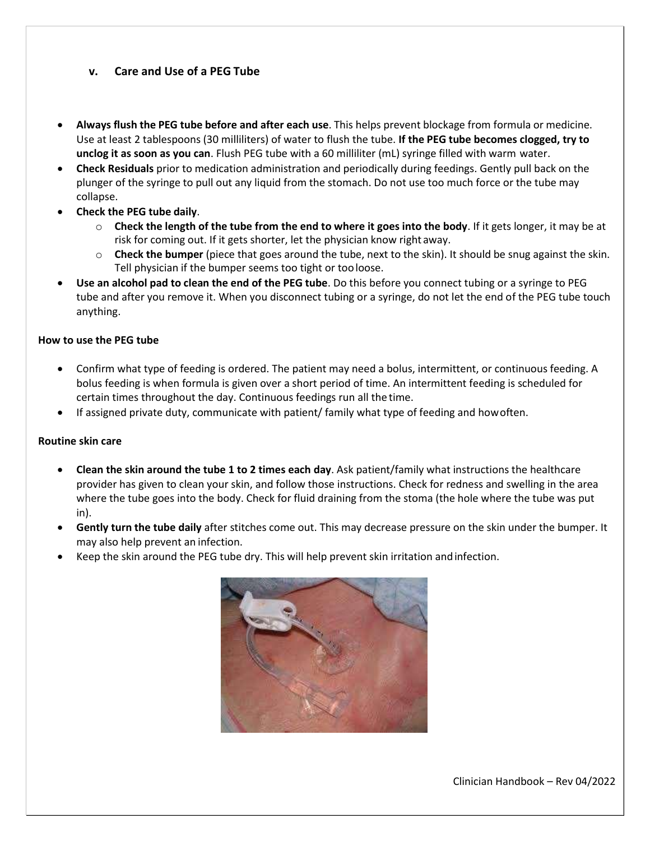#### **v. Care and Use of a PEG Tube**

- **Always flush the PEG tube before and after each use**. This helps prevent blockage from formula or medicine. Use at least 2 tablespoons (30 milliliters) of water to flush the tube. **If the PEG tube becomes clogged, try to unclog it as soon as you can**. Flush PEG tube with a 60 milliliter (mL) syringe filled with warm water.
- **Check Residuals** prior to medication administration and periodically during feedings. Gently pull back on the plunger of the syringe to pull out any liquid from the stomach. Do not use too much force or the tube may collapse.
- **Check the PEG tube daily**.
	- o **Check the length of the tube from the end to where it goes into the body**. If it gets longer, it may be at risk for coming out. If it gets shorter, let the physician know right away.
	- o **Check the bumper** (piece that goes around the tube, next to the skin). It should be snug against the skin. Tell physician if the bumper seems too tight or too loose.
- **Use an alcohol pad to clean the end of the PEG tube**. Do this before you connect tubing or a syringe to PEG tube and after you remove it. When you disconnect tubing or a syringe, do not let the end of the PEG tube touch anything.

#### **How to use the PEG tube**

- Confirm what type of feeding is ordered. The patient may need a bolus, intermittent, or continuous feeding. A bolus feeding is when formula is given over a short period of time. An intermittent feeding is scheduled for certain times throughout the day. Continuous feedings run all the time.
- If assigned private duty, communicate with patient/ family what type of feeding and how often.

#### **Routine skin care**

- **Clean the skin around the tube 1 to 2 times each day**. Ask patient/family what instructions the healthcare provider has given to clean your skin, and follow those instructions. Check for redness and swelling in the area where the tube goes into the body. Check for fluid draining from the stoma (the hole where the tube was put in).
- **Gently turn the tube daily** after stitches come out. This may decrease pressure on the skin under the bumper. It may also help prevent an infection.
- Keep the skin around the PEG tube dry. This will help prevent skin irritation and infection.

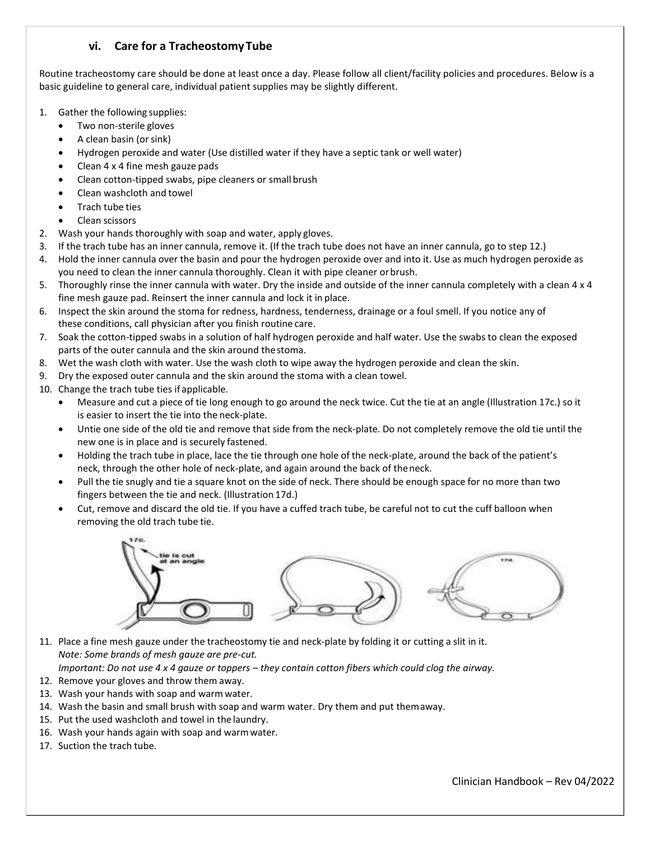#### **vi. Care for a Tracheostomy Tube**

Routine tracheostomy care should be done at least once a day. Please follow all client/facility policies and procedures. Below is a basic guideline to general care, individual patient supplies may be slightly different.

- 1. Gather the following supplies:
	- Two non-sterile gloves
	- A clean basin (or sink)
	- Hydrogen peroxide and water (Use distilled water if they have a septic tank or well water)
	- Clean 4 x 4 fine mesh gauze pads
	- Clean cotton-tipped swabs, pipe cleaners or small brush
	- Clean washcloth and towel
	- Trach tube ties
	- Clean scissors
- 2. Wash your hands thoroughly with soap and water, apply gloves.
- 3. If the trach tube has an inner cannula, remove it. (If the trach tube does not have an inner cannula, go to step 12.)
- 4. Hold the inner cannula over the basin and pour the hydrogen peroxide over and into it. Use as much hydrogen peroxide as you need to clean the inner cannula thoroughly. Clean it with pipe cleaner or brush.
- 5. Thoroughly rinse the inner cannula with water. Dry the inside and outside of the inner cannula completely with a clean 4 x 4 fine mesh gauze pad. Reinsert the inner cannula and lock it in place.
- 6. Inspect the skin around the stoma for redness, hardness, tenderness, drainage or a foul smell. If you notice any of these conditions, call physician after you finish routine care.
- 7. Soak the cotton-tipped swabs in a solution of half hydrogen peroxide and half water. Use the swabs to clean the exposed parts of the outer cannula and the skin around the stoma.
- 8. Wet the wash cloth with water. Use the wash cloth to wipe away the hydrogen peroxide and clean the skin.
- 9. Dry the exposed outer cannula and the skin around the stoma with a clean towel.
- 10. Change the trach tube ties if applicable.
	- Measure and cut a piece of tie long enough to go around the neck twice. Cut the tie at an angle (Illustration 17c.) so it is easier to insert the tie into the neck-plate.
	- Untie one side of the old tie and remove that side from the neck-plate. Do not completely remove the old tie until the new one is in place and is securely fastened.
	- Holding the trach tube in place, lace the tie through one hole of the neck-plate, around the back of the patient's neck, through the other hole of neck-plate, and again around the back of the neck.
	- Pull the tie snugly and tie a square knot on the side of neck. There should be enough space for no more than two fingers between the tie and neck. (Illustration 17d.)
	- Cut, remove and discard the old tie. If you have a cuffed trach tube, be careful not to cut the cuff balloon when removing the old trach tube tie.



11. Place a fine mesh gauze under the tracheostomy tie and neck-plate by folding it or cutting a slit in it. *Note: Some brands of mesh gauze are pre-cut.* 

*Important: Do not use 4 x 4 gauze or toppers – they contain cotton fibers which could clog the airway.* 

- 12. Remove your gloves and throw them away.
- 13. Wash your hands with soap and warm water.
- 14. Wash the basin and small brush with soap and warm water. Dry them and put them away.
- 15. Put the used washcloth and towel in the laundry.
- 16. Wash your hands again with soap and warm water.
- 17. Suction the trach tube.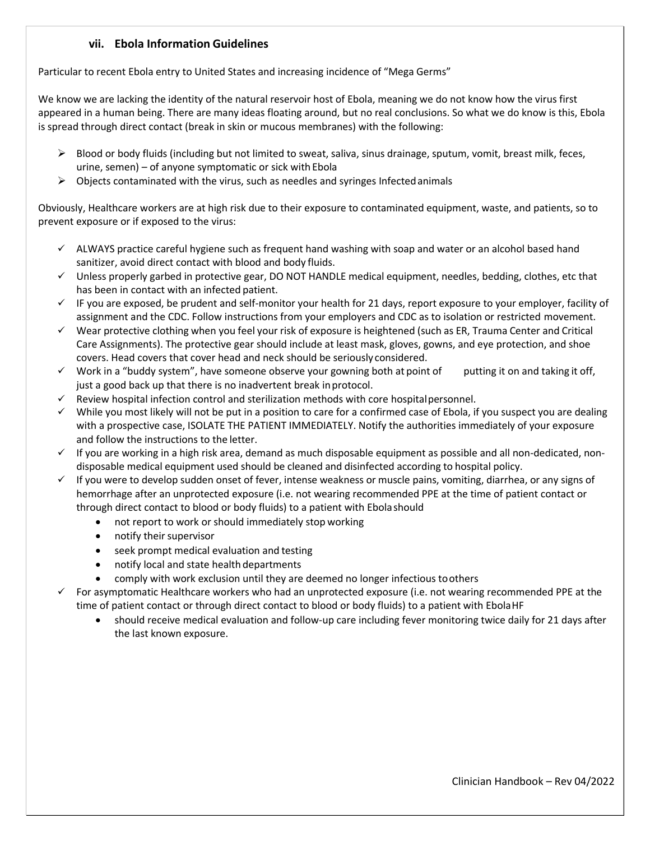#### **vii. Ebola Information Guidelines**

Particular to recent Ebola entry to United States and increasing incidence of "Mega Germs"

We know we are lacking the identity of the natural reservoir host of Ebola, meaning we do not know how the virus first appeared in a human being. There are many ideas floating around, but no real conclusions. So what we do know is this, Ebola is spread through direct contact (break in skin or mucous membranes) with the following:

- Blood or body fluids (including but not limited to sweat, saliva, sinus drainage, sputum, vomit, breast milk, feces, urine, semen) – of anyone symptomatic or sick with Ebola
- $\triangleright$  Objects contaminated with the virus, such as needles and syringes Infected animals

Obviously, Healthcare workers are at high risk due to their exposure to contaminated equipment, waste, and patients, so to prevent exposure or if exposed to the virus:

- $\checkmark$  ALWAYS practice careful hygiene such as frequent hand washing with soap and water or an alcohol based hand sanitizer, avoid direct contact with blood and body fluids.
- $\checkmark$  Unless properly garbed in protective gear, DO NOT HANDLE medical equipment, needles, bedding, clothes, etc that has been in contact with an infected patient.
- $\checkmark$  IF you are exposed, be prudent and self-monitor your health for 21 days, report exposure to your employer, facility of assignment and the CDC. Follow instructions from your employers and CDC as to isolation or restricted movement.
- $\checkmark$  Wear protective clothing when you feel your risk of exposure is heightened (such as ER, Trauma Center and Critical Care Assignments). The protective gear should include at least mask, gloves, gowns, and eye protection, and shoe covers. Head covers that cover head and neck should be seriously considered.
- $\checkmark$  Work in a "buddy system", have someone observe your gowning both at point of putting it on and taking it off, just a good back up that there is no inadvertent break in protocol.
- Review hospital infection control and sterilization methods with core hospital personnel.
- $\checkmark$  While you most likely will not be put in a position to care for a confirmed case of Ebola, if you suspect you are dealing with a prospective case, ISOLATE THE PATIENT IMMEDIATELY. Notify the authorities immediately of your exposure and follow the instructions to the letter.
- $\checkmark$  If you are working in a high risk area, demand as much disposable equipment as possible and all non-dedicated, nondisposable medical equipment used should be cleaned and disinfected according to hospital policy.
- $\checkmark$  If you were to develop sudden onset of fever, intense weakness or muscle pains, vomiting, diarrhea, or any signs of hemorrhage after an unprotected exposure (i.e. not wearing recommended PPE at the time of patient contact or through direct contact to blood or body fluids) to a patient with Ebola should
	- not report to work or should immediately stop working
	- notify their supervisor
	- **•** seek prompt medical evaluation and testing
	- notify local and state health departments
	- comply with work exclusion until they are deemed no longer infectious to others

 For asymptomatic Healthcare workers who had an unprotected exposure (i.e. not wearing recommended PPE at the time of patient contact or through direct contact to blood or body fluids) to a patient with Ebola HF

 should receive medical evaluation and follow-up care including fever monitoring twice daily for 21 days after the last known exposure.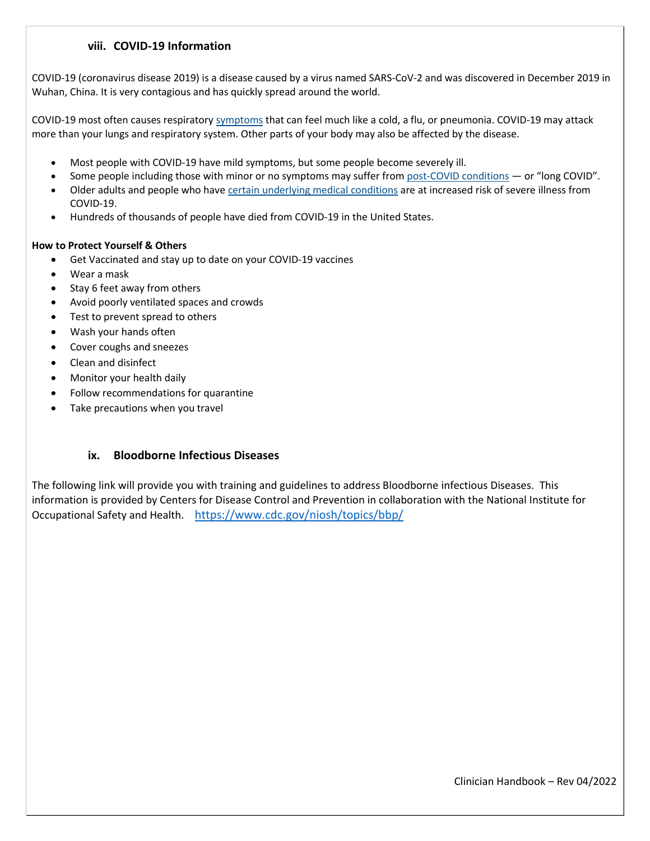#### **viii. COVID-19 Information**

COVID-19 (coronavirus disease 2019) is a disease caused by a virus named SARS-CoV-2 and was discovered in December 2019 in Wuhan, China. It is very contagious and has quickly spread around the world.

COVID-19 most often causes respirator[y symptoms](https://www.cdc.gov/coronavirus/2019-ncov/symptoms-testing/symptoms.html) that can feel much like a cold, a flu, or pneumonia. COVID-19 may attack more than your lungs and respiratory system. Other parts of your body may also be affected by the disease.

- Most people with COVID-19 have mild symptoms, but some people become severely ill.
- Some people including those with minor or no symptoms may suffer fro[m post-COVID conditions](https://www.cdc.gov/coronavirus/2019-ncov/long-term-effects/index.html) or "long COVID".
- Older adults and people who hav[e certain underlying medical conditions](https://www.cdc.gov/coronavirus/2019-ncov/need-extra-precautions/people-with-medical-conditions.html?CDC_AA_refVal=https%3A%2F%2Fwww.cdc.gov%2Fcoronavirus%2F2019-ncov%2Fneed-extra-precautions%2Fgroups-at-higher-risk.html) are at increased risk of severe illness from COVID-19.
- Hundreds of thousands of people have died from COVID-19 in the United States.

#### **How to Protect Yourself & Others**

- Get Vaccinated and stay up to date on your COVID-19 vaccines
- Wear a mask
- Stay 6 feet away from others
- Avoid poorly ventilated spaces and crowds
- Test to prevent spread to others
- Wash your hands often
- Cover coughs and sneezes
- Clean and disinfect
- Monitor your health daily
- Follow recommendations for quarantine
- Take precautions when you travel

#### **ix. Bloodborne Infectious Diseases**

The following link will provide you with training and guidelines to address Bloodborne infectious Diseases. This information is provided by Centers for Disease Control and Prevention in collaboration with the National Institute for Occupational Safety and Health. <https://www.cdc.gov/niosh/topics/bbp/>